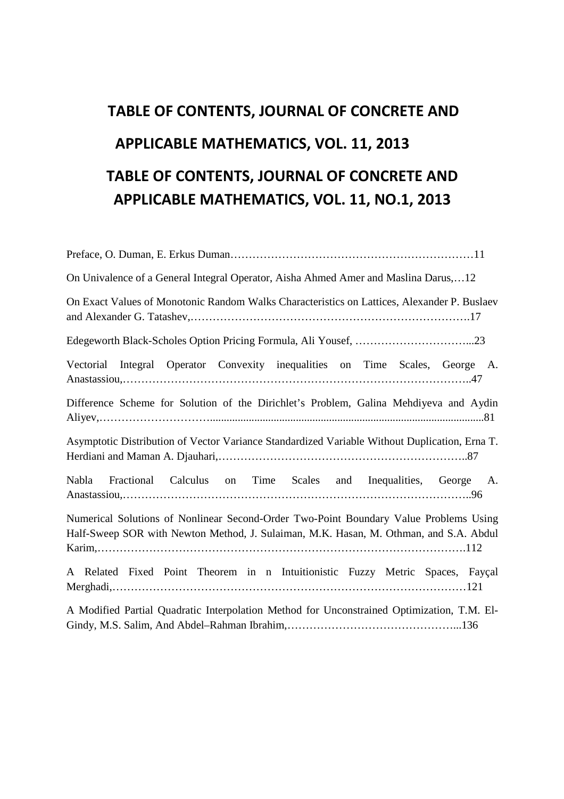## **TABLE OF CONTENTS, JOURNAL OF CONCRETE AND APPLICABLE MATHEMATICS, VOL. 11, 2013 TABLE OF CONTENTS, JOURNAL OF CONCRETE AND APPLICABLE MATHEMATICS, VOL. 11, NO.1, 2013**

| On Univalence of a General Integral Operator, Aisha Ahmed Amer and Maslina Darus,12                                                                                            |
|--------------------------------------------------------------------------------------------------------------------------------------------------------------------------------|
| On Exact Values of Monotonic Random Walks Characteristics on Lattices, Alexander P. Buslaev                                                                                    |
|                                                                                                                                                                                |
| Vectorial Integral Operator Convexity inequalities on Time Scales, George A.                                                                                                   |
| Difference Scheme for Solution of the Dirichlet's Problem, Galina Mehdiyeva and Aydin                                                                                          |
| Asymptotic Distribution of Vector Variance Standardized Variable Without Duplication, Erna T.                                                                                  |
| Nabla<br>Fractional Calculus on Time Scales and Inequalities, George A.                                                                                                        |
| Numerical Solutions of Nonlinear Second-Order Two-Point Boundary Value Problems Using<br>Half-Sweep SOR with Newton Method, J. Sulaiman, M.K. Hasan, M. Othman, and S.A. Abdul |
| A Related Fixed Point Theorem in n Intuitionistic Fuzzy Metric Spaces, Fayçal                                                                                                  |
| A Modified Partial Quadratic Interpolation Method for Unconstrained Optimization, T.M. El-                                                                                     |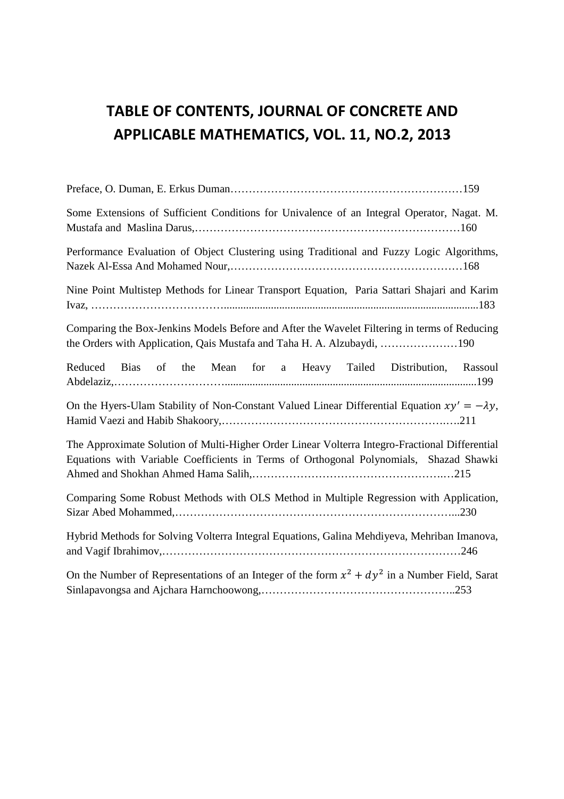## **TABLE OF CONTENTS, JOURNAL OF CONCRETE AND APPLICABLE MATHEMATICS, VOL. 11, NO.2, 2013**

| Some Extensions of Sufficient Conditions for Univalence of an Integral Operator, Nagat. M.                                                                                               |
|------------------------------------------------------------------------------------------------------------------------------------------------------------------------------------------|
| Performance Evaluation of Object Clustering using Traditional and Fuzzy Logic Algorithms,                                                                                                |
| Nine Point Multistep Methods for Linear Transport Equation, Paria Sattari Shajari and Karim                                                                                              |
| Comparing the Box-Jenkins Models Before and After the Wavelet Filtering in terms of Reducing<br>the Orders with Application, Qais Mustafa and Taha H. A. Alzubaydi, 190                  |
| Reduced Bias of the Mean for a Heavy Tailed Distribution, Rassoul                                                                                                                        |
| On the Hyers-Ulam Stability of Non-Constant Valued Linear Differential Equation $xy' = -\lambda y$ ,                                                                                     |
| The Approximate Solution of Multi-Higher Order Linear Volterra Integro-Fractional Differential<br>Equations with Variable Coefficients in Terms of Orthogonal Polynomials, Shazad Shawki |
| Comparing Some Robust Methods with OLS Method in Multiple Regression with Application,                                                                                                   |
| Hybrid Methods for Solving Volterra Integral Equations, Galina Mehdiyeva, Mehriban Imanova,                                                                                              |
| On the Number of Representations of an Integer of the form $x^2 + dy^2$ in a Number Field, Sarat                                                                                         |